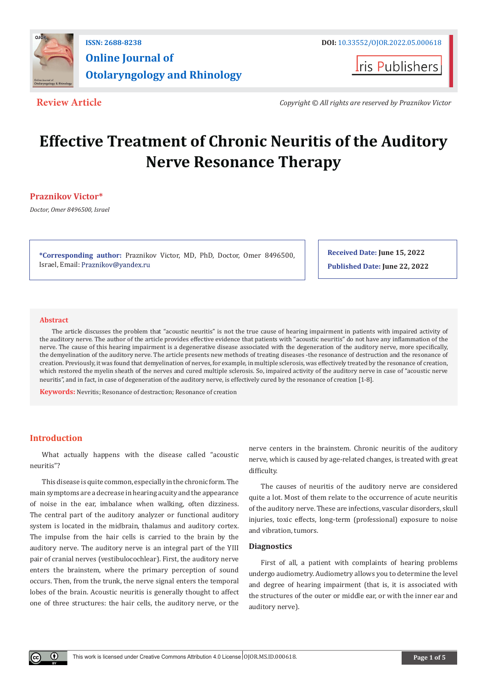

**Iris Publishers** 

**Review Article** *Copyright © All rights are reserved by Praznikov Victor*

# **Effective Treatment of Chronic Neuritis of the Auditory Nerve Resonance Therapy**

# **Praznikov Victor\***

*Doctor, Omer 8496500, Israel*

**\*Corresponding author:** Praznikov Victor, MD, PhD, Doctor, Omer 8496500, Israel, Email: Praznikov@yandex.ru

**Received Date: June 15, 2022 Published Date: June 22, 2022**

# **Abstract**

The article discusses the problem that "acoustic neuritis" is not the true cause of hearing impairment in patients with impaired activity of the auditory nerve. The author of the article provides effective evidence that patients with "acoustic neuritis" do not have any inflammation of the nerve. The cause of this hearing impairment is a degenerative disease associated with the degeneration of the auditory nerve, more specifically, the demyelination of the auditory nerve. The article presents new methods of treating diseases -the resonance of destruction and the resonance of creation. Previously, it was found that demyelination of nerves, for example, in multiple sclerosis, was effectively treated by the resonance of creation, which restored the myelin sheath of the nerves and cured multiple sclerosis. So, impaired activity of the auditory nerve in case of "acoustic nerve neuritis", and in fact, in case of degeneration of the auditory nerve, is effectively cured by the resonance of creation [1-8].

**Keywords:** Nevritis; Resonance of destraction; Resonance of creation

# **Introduction**

⋒

What actually happens with the disease called "acoustic neuritis"?

This disease is quite common, especially in the chronic form. The main symptoms are a decrease in hearing acuity and the appearance of noise in the ear, imbalance when walking, often dizziness. The central part of the auditory analyzer or functional auditory system is located in the midbrain, thalamus and auditory cortex. The impulse from the hair cells is carried to the brain by the auditory nerve. The auditory nerve is an integral part of the YIII pair of cranial nerves (vestibulocochlear). First, the auditory nerve enters the brainstem, where the primary perception of sound occurs. Then, from the trunk, the nerve signal enters the temporal lobes of the brain. Acoustic neuritis is generally thought to affect one of three structures: the hair cells, the auditory nerve, or the

nerve centers in the brainstem. Chronic neuritis of the auditory nerve, which is caused by age-related changes, is treated with great difficulty.

The causes of neuritis of the auditory nerve are considered quite a lot. Most of them relate to the occurrence of acute neuritis of the auditory nerve. These are infections, vascular disorders, skull injuries, toxic effects, long-term (professional) exposure to noise and vibration, tumors.

## **Diagnostics**

First of all, a patient with complaints of hearing problems undergo audiometry. Audiometry allows you to determine the level and degree of hearing impairment (that is, it is associated with the structures of the outer or middle ear, or with the inner ear and auditory nerve).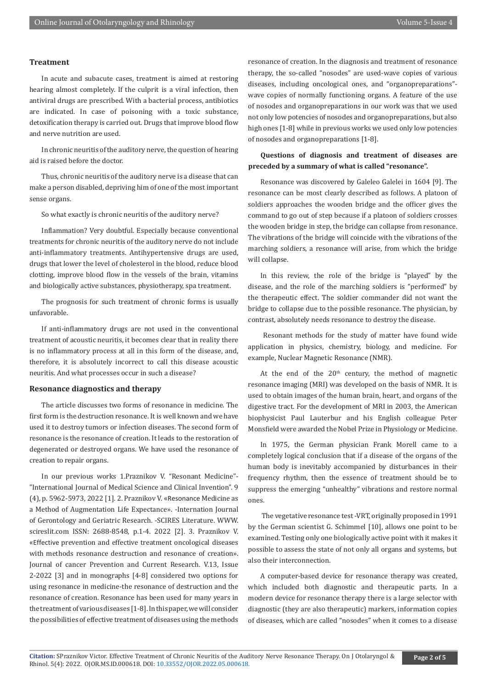## **Treatment**

In acute and subacute cases, treatment is aimed at restoring hearing almost completely. If the culprit is a viral infection, then antiviral drugs are prescribed. With a bacterial process, antibiotics are indicated. In case of poisoning with a toxic substance, detoxification therapy is carried out. Drugs that improve blood flow and nerve nutrition are used.

In chronic neuritis of the auditory nerve, the question of hearing aid is raised before the doctor.

Thus, chronic neuritis of the auditory nerve is a disease that can make a person disabled, depriving him of one of the most important sense organs.

So what exactly is chronic neuritis of the auditory nerve?

Inflammation? Very doubtful. Especially because conventional treatments for chronic neuritis of the auditory nerve do not include anti-inflammatory treatments. Antihypertensive drugs are used, drugs that lower the level of cholesterol in the blood, reduce blood clotting, improve blood flow in the vessels of the brain, vitamins and biologically active substances, physiotherapy, spa treatment.

The prognosis for such treatment of chronic forms is usually unfavorable.

If anti-inflammatory drugs are not used in the conventional treatment of acoustic neuritis, it becomes clear that in reality there is no inflammatory process at all in this form of the disease, and, therefore, it is absolutely incorrect to call this disease acoustic neuritis. And what processes occur in such a disease?

# **Resonance diagnostics and therapy**

The article discusses two forms of resonance in medicine. The first form is the destruction resonance. It is well known and we have used it to destroy tumors or infection diseases. The second form of resonance is the resonance of creation. It leads to the restoration of degenerated or destroyed organs. We have used the resonance of creation to repair organs.

In our previous works 1.Praznikov V. "Resonant Medicine"- "International Journal of Medical Science and Clinical Invention". 9 (4), p. 5962-5973, 2022 [1]. 2. Praznikov V. «Resonance Medicine as a Method of Augmentation Life Expectance». -Internation Journal of Gerontology and Geriatric Research. -SCIRES Literature. WWW. scireslit.com ISSN: 2688-8548, p.1-4. 2022 [2]. 3. Praznikov V. «Effective prevention and effective treatment oncological diseases with methods resonance destruction and resonance of creation». Journal of cancer Prevention and Current Research. V.13, Issue 2-2022 [3] and in monographs [4-8] considered two options for using resonance in medicine-the resonance of destruction and the resonance of creation. Resonance has been used for many years in the treatment of various diseases [1-8]. In this paper, we will consider the possibilities of effective treatment of diseases using the methods

resonance of creation. In the diagnosis and treatment of resonance therapy, the so-called "nosodes" are used-wave copies of various diseases, including oncological ones, and "organоpreparations" wave copies of normally functioning organs. A feature of the use of nosodes and organopreparations in our work was that we used not only low potencies of nosodes and organоpreparations, but also high ones [1-8] while in previous works we used only low potencies of nosodes and organopreparations [1-8].

# **Questions of diagnosis and treatment of diseases are preceded by a summary of what is called "resonance".**

Resonance was discovered by Galeleo Galelei in 1604 [9]. The resonance can be most clearly described as follows. A platoon of soldiers approaches the wooden bridge and the officer gives the command to go out of step because if a platoon of soldiers crosses the wooden bridge in step, the bridge can collapse from resonance. The vibrations of the bridge will coincide with the vibrations of the marching soldiers, a resonance will arise, from which the bridge will collapse.

In this review, the role of the bridge is "played" by the disease, and the role of the marching soldiers is "performed" by the therapeutic effect. The soldier commander did not want the bridge to collapse due to the possible resonance. The physician, by contrast, absolutely needs resonance to destroy the disease.

 Resonant methods for the study of matter have found wide application in physics, chemistry, biology, and medicine. For example, Nuclear Magnetic Resonance (NMR).

At the end of the  $20<sup>th</sup>$  century, the method of magnetic resonance imaging (MRI) was developed on the basis of NMR. It is used to obtain images of the human brain, heart, and organs of the digestive tract. For the development of MRI in 2003, the American biophysicist Paul Lauterbur and his English colleague Peter Monsfield were awarded the Nobel Prize in Physiology or Medicine.

In 1975, the German physician Frank Morell came to a completely logical conclusion that if a disease of the organs of the human body is inevitably accompanied by disturbances in their frequency rhythm, then the essence of treatment should be to suppress the emerging "unhealthy" vibrations and restore normal ones.

 The vegetative resonance test -VRT, originally proposed in 1991 by the German scientist G. Schimmel [10], allows one point to be examined. Testing only one biologically active point with it makes it possible to assess the state of not only all organs and systems, but also their interconnection.

A computer-based device for resonance therapy was created, which included both diagnostic and therapeutic parts. In a modern device for resonance therapy there is a large selector with diagnostic (they are also therapeutic) markers, information copies of diseases, which are called "nosodes" when it comes to a disease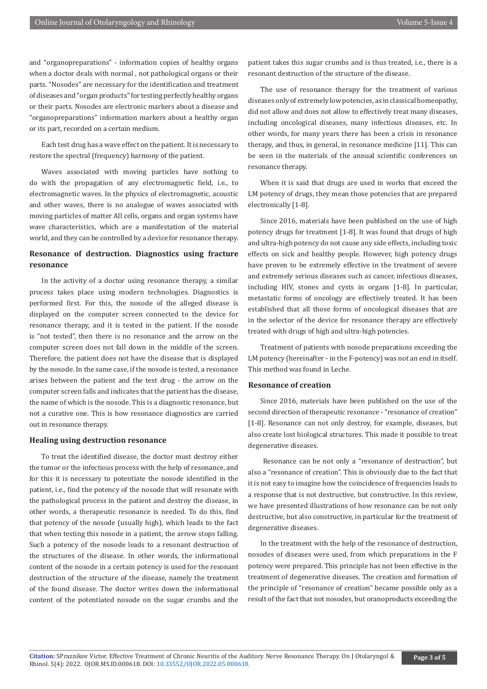and "organopreparations" - information copies of healthy organs when a doctor deals with normal , not pathological organs or their parts. "Nosodes" are necessary for the identification and treatment of diseases and "organ products" for testing perfectly healthy organs or their parts. Nosodes are electronic markers about a disease and "organopreparations" information markers about a healthy organ or its part, recorded on a certain medium.

Each test drug has a wave effect on the patient. It is necessary to restore the spectral (frequency) harmony of the patient.

Waves associated with moving particles have nothing to do with the propagation of any electromagnetic field, i.e., to electromagnetic waves. In the physics of electromagnetic, acoustic and other waves, there is no analogue of waves associated with moving particles of matter All cells, organs and organ systems have wave characteristics, which are a manifestation of the material world, and they can be controlled by a device for resonance therapy.

# **Resonance of destruction. Diagnostics using fracture resonance**

In the activity of a doctor using resonance therapy, a similar process takes place using modern technologies. Diagnostics is performed first. For this, the nosode of the alleged disease is displayed on the computer screen connected to the device for resonance therapy, and it is tested in the patient. If the nosode is "not tested", then there is no resonance and the arrow on the computer screen does not fall down in the middle of the screen. Therefore, the patient does not have the disease that is displayed by the nosode. In the same case, if the nosode is tested, a resonance arises between the patient and the test drug - the arrow on the computer screen falls and indicates that the patient has the disease, the name of which is the nosode. This is a diagnostic resonance, but not a curative one. This is how resonance diagnostics are carried out in resonance therapy.

#### **Healing using destruction resonance**

To treat the identified disease, the doctor must destroy either the tumor or the infectious process with the help of resonance, and for this it is necessary to potentiate the nosode identified in the patient, i.e., find the potency of the nosode that will resonate with the pathological process in the patient and destroy the disease, in other words, a therapeutic resonance is needed. To do this, find that potency of the nosode (usually high), which leads to the fact that when testing this nosode in a patient, the arrow stops falling. Such a potency of the nosode leads to a resonant destruction of the structures of the disease. In other words, the informational content of the nosode in a certain potency is used for the resonant destruction of the structure of the disease, namely the treatment of the found disease. The doctor writes down the informational content of the potentiated nosode on the sugar crumbs and the

patient takes this sugar crumbs and is thus treated, i.e., there is a resonant destruction of the structure of the disease.

The use of resonance therapy for the treatment of various diseases only of extremely low potencies, as in classical homeopathy, did not allow and does not allow to effectively treat many diseases, including oncological diseases, many infectious diseases, etc. In other words, for many years there has been a crisis in resonance therapy, and thus, in general, in resonance medicine [11]. This can be seen in the materials of the annual scientific conferences on resonance therapy.

When it is said that drugs are used in works that exceed the LM potency of drugs, they mean those potencies that are prepared electronically [1-8].

Since 2016, materials have been published on the use of high potency drugs for treatment [1-8]. It was found that drugs of high and ultra-high potency do not cause any side effects, including toxic effects on sick and healthy people. However, high potency drugs have proven to be extremely effective in the treatment of severe and extremely serious diseases such as cancer, infectious diseases, including HIV, stones and cysts in organs [1-8]. In particular, metastatic forms of oncology are effectively treated. It has been established that all those forms of oncological diseases that are in the selector of the device for resonance therapy are effectively treated with drugs of high and ultra-high potencies.

Treatment of patients with nosode preparations exceeding the LM potency (hereinafter - in the F-potency) was not an end in itself. This method was found in Leche.

#### **Resonance of creation**

Since 2016, materials have been published on the use of the second direction of therapeutic resonance - "resonance of creation" [1-8]. Resonance can not only destroy, for example, diseases, but also create lost biological structures. This made it possible to treat degenerative diseases.

 Resonance can be not only a "resonance of destruction", but also a "resonance of creation". This is obviously due to the fact that it is not easy to imagine how the coincidence of frequencies leads to a response that is not destructive, but constructive. In this review, we have presented illustrations of how resonance can be not only destructive, but also constructive, in particular for the treatment of degenerative diseases.

In the treatment with the help of the resonance of destruction, nosodes of diseases were used, from which preparations in the F potency were prepared. This principle has not been effective in the treatment of degenerative diseases. The creation and formation of the principle of "resonance of creation" became possible only as a result of the fact that not nosodes, but oranoproducts exceeding the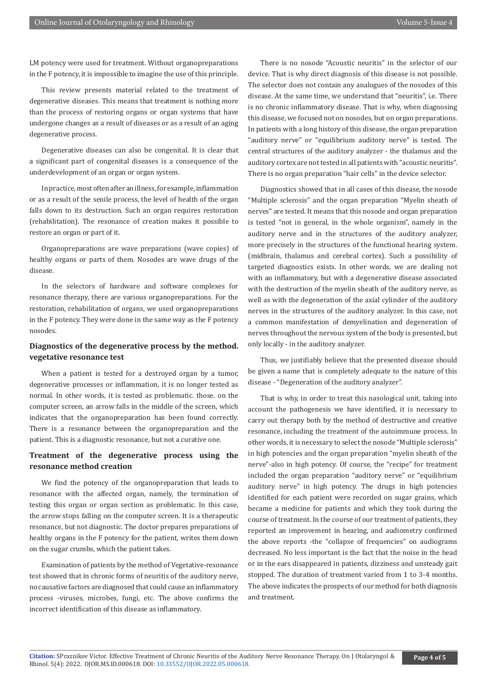LM potency were used for treatment. Without organopreparations in the F potency, it is impossible to imagine the use of this principle.

This review presents material related to the treatment of degenerative diseases. This means that treatment is nothing more than the process of restoring organs or organ systems that have undergone changes as a result of diseases or as a result of an aging degenerative process.

Degenerative diseases can also be congenital. It is clear that a significant part of congenital diseases is a consequence of the underdevelopment of an organ or organ system.

In practice, most often after an illness, for example, inflammation or as a result of the senile process, the level of health of the organ falls down to its destruction. Such an organ requires restoration (rehabilitation). The resonance of creation makes it possible to restore an organ or part of it.

Organopreparations are wave preparations (wave copies) of healthy organs or parts of them. Nosodes are wave drugs of the disease.

In the selectors of hardware and software complexes for resonance therapy, there are various organopreparations. For the restoration, rehabilitation of organs, we used organopreparations in the F potency. They were done in the same way as the F potency nosodes.

# **Diagnostics of the degenerative process by the method. vegetative resonance test**

When a patient is tested for a destroyed organ by a tumor, degenerative processes or inflammation, it is no longer tested as normal. In other words, it is tested as problematic. those. on the computer screen, an arrow falls in the middle of the screen, which indicates that the organopreparation has been found correctly. There is a resonance between the organopreparation and the patient. This is a diagnostic resonance, but not a curative one.

# **Treatment of the degenerative process using the resonance method creation**

We find the potency of the organopreparation that leads to resonance with the affected organ, namely, the termination of testing this organ or organ section as problematic. In this case, the arrow stops falling on the computer screen. It is a therapeutic resonance, but not diagnostic. The doctor prepares preparations of healthy organs in the F potency for the patient, writes them down on the sugar crumbs, which the patient takes.

Examination of patients by the method of Vegetative-resonance test showed that in chronic forms of neuritis of the auditory nerve, no causative factors are diagnosed that could cause an inflammatory process -viruses, microbes, fungi, etc. The above confirms the incorrect identification of this disease as inflammatory.

There is no nosode "Acoustic neuritis" in the selector of our device. That is why direct diagnosis of this disease is not possible. The selector does not contain any analogues of the nosodes of this disease. At the same time, we understand that "neuritis", i.e. There is no chronic inflammatory disease. That is why, when diagnosing this disease, we focused not on nosodes, but on organ preparations. In patients with a long history of this disease, the organ preparation "auditory nerve" or "equilibrium auditory nerve" is tested. The central structures of the auditory analyzer - the thalamus and the auditory cortex are not tested in all patients with "acoustic neuritis". There is no organ preparation "hair cells" in the device selector.

Diagnostics showed that in all cases of this disease, the nosode "Multiple sclerosis" and the organ preparation "Myelin sheath of nerves" are tested. It means that this nosode and organ preparation is tested "not in general, in the whole organism", namely in the auditory nerve and in the structures of the auditory analyzer, more precisely in the structures of the functional hearing system. (midbrain, thalamus and cerebral cortex). Such a possibility of targeted diagnostics exists. In other words, we are dealing not with an inflammatory, but with a degenerative disease associated with the destruction of the myelin sheath of the auditory nerve, as well as with the degeneration of the axial cylinder of the auditory nerves in the structures of the auditory analyzer. In this case, not a common manifestation of demyelination and degeneration of nerves throughout the nervous system of the body is presented, but only locally - in the auditory analyzer.

Thus, we justifiably believe that the presented disease should be given a name that is completely adequate to the nature of this disease - "Degeneration of the auditory analyzer".

That is why, in order to treat this nasological unit, taking into account the pathogenesis we have identified, it is necessary to carry out therapy both by the method of destructive and creative resonance, including the treatment of the autoimmune process. In other words, it is necessary to select the nosode "Multiple sclerosis" in high potencies and the organ preparation "myelin sheath of the nerve"-also in high potency. Of course, the "recipe" for treatment included the organ preparation "auditory nerve" or "equilibrium auditory nerve" in high potency. The drugs in high potencies identified for each patient were recorded on sugar grains, which became a medicine for patients and which they took during the course of treatment. In the course of our treatment of patients, they reported an improvement in hearing, and audiometry confirmed the above reports -the "collapse of frequencies" on audiograms decreased. No less important is the fact that the noise in the head or in the ears disappeared in patients, dizziness and unsteady gait stopped. The duration of treatment varied from 1 to 3-4 months. The above indicates the prospects of our method for both diagnosis and treatment.